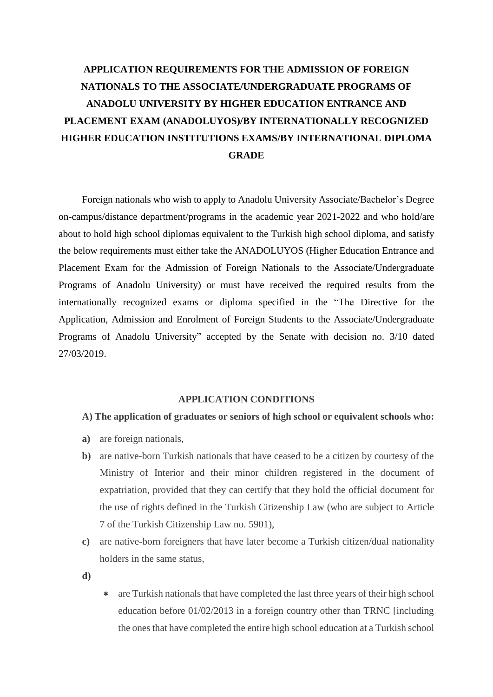# **APPLICATION REQUIREMENTS FOR THE ADMISSION OF FOREIGN NATIONALS TO THE ASSOCIATE/UNDERGRADUATE PROGRAMS OF ANADOLU UNIVERSITY BY HIGHER EDUCATION ENTRANCE AND PLACEMENT EXAM (ANADOLUYOS)/BY INTERNATIONALLY RECOGNIZED HIGHER EDUCATION INSTITUTIONS EXAMS/BY INTERNATIONAL DIPLOMA GRADE**

Foreign nationals who wish to apply to Anadolu University Associate/Bachelor's Degree on-campus/distance department/programs in the academic year 2021-2022 and who hold/are about to hold high school diplomas equivalent to the Turkish high school diploma, and satisfy the below requirements must either take the ANADOLUYOS (Higher Education Entrance and Placement Exam for the Admission of Foreign Nationals to the Associate/Undergraduate Programs of Anadolu University) or must have received the required results from the internationally recognized exams or diploma specified in the "The Directive for the Application, Admission and Enrolment of Foreign Students to the Associate/Undergraduate Programs of Anadolu University" accepted by the Senate with decision no. 3/10 dated 27/03/2019.

## **APPLICATION CONDITIONS**

## **A) The application of graduates or seniors of high school or equivalent schools who:**

- **a)** are foreign nationals,
- **b)** are native-born Turkish nationals that have ceased to be a citizen by courtesy of the Ministry of Interior and their minor children registered in the document of expatriation, provided that they can certify that they hold the official document for the use of rights defined in the Turkish Citizenship Law (who are subject to Article 7 of the Turkish Citizenship Law no. 5901),
- **c)** are native-born foreigners that have later become a Turkish citizen/dual nationality holders in the same status
- **d)**
- are Turkish nationals that have completed the last three years of their high school education before 01/02/2013 in a foreign country other than TRNC [including the ones that have completed the entire high school education at a Turkish school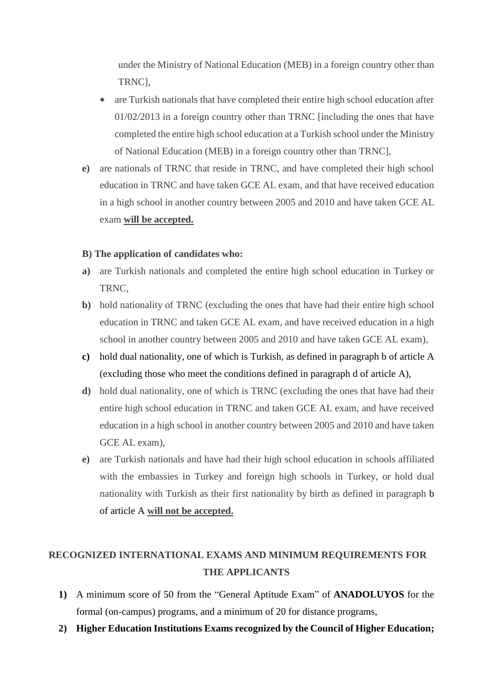under the Ministry of National Education (MEB) in a foreign country other than TRNC],

- are Turkish nationals that have completed their entire high school education after 01/02/2013 in a foreign country other than TRNC [including the ones that have completed the entire high school education at a Turkish school under the Ministry of National Education (MEB) in a foreign country other than TRNC],
- **e)** are nationals of TRNC that reside in TRNC, and have completed their high school education in TRNC and have taken GCE AL exam, and that have received education in a high school in another country between 2005 and 2010 and have taken GCE AL exam **will be accepted.**

# **B) The application of candidates who:**

- **a)** are Turkish nationals and completed the entire high school education in Turkey or TRNC,
- **b)** hold nationality of TRNC (excluding the ones that have had their entire high school education in TRNC and taken GCE AL exam, and have received education in a high school in another country between 2005 and 2010 and have taken GCE AL exam),
- **c)** hold dual nationality, one of which is Turkish, as defined in paragraph b of article A (excluding those who meet the conditions defined in paragraph d of article A),
- **d)** hold dual nationality, one of which is TRNC (excluding the ones that have had their entire high school education in TRNC and taken GCE AL exam, and have received education in a high school in another country between 2005 and 2010 and have taken GCE AL exam),
- **e)** are Turkish nationals and have had their high school education in schools affiliated with the embassies in Turkey and foreign high schools in Turkey, or hold dual nationality with Turkish as their first nationality by birth as defined in paragraph b of article A **will not be accepted.**

# **RECOGNIZED INTERNATIONAL EXAMS AND MINIMUM REQUIREMENTS FOR THE APPLICANTS**

- **1)** A minimum score of 50 from the "General Aptitude Exam" of **ANADOLUYOS** for the formal (on-campus) programs, and a minimum of 20 for distance programs,
- **2) Higher Education Institutions Exams recognized by the Council of Higher Education;**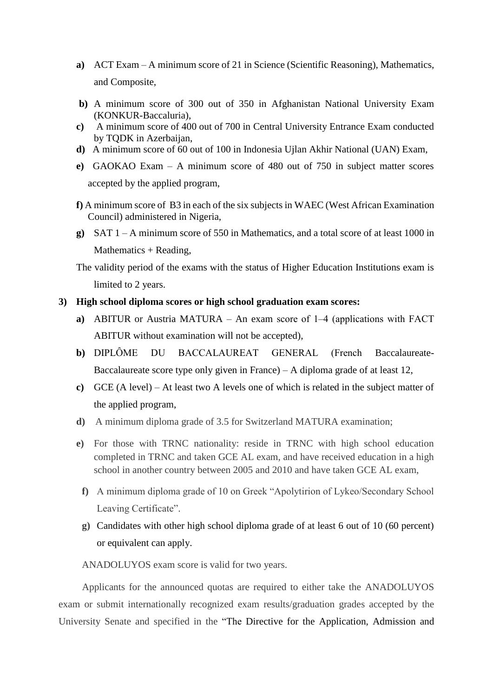- **a)** ACT Exam A minimum score of 21 in Science (Scientific Reasoning), Mathematics, and Composite,
- **b)** A minimum score of 300 out of 350 in Afghanistan National University Exam (KONKUR-Baccaluria),
- **c)** A minimum score of 400 out of 700 in Central University Entrance Exam conducted by TQDK in Azerbaijan,
- **d)** A minimum score of 60 out of 100 in Indonesia Ujlan Akhir National (UAN) Exam,
- **e)** GAOKAO Exam A minimum score of 480 out of 750 in subject matter scores accepted by the applied program,
- **f)** A minimum score of B3 in each of the six subjects in WAEC (West African Examination Council) administered in Nigeria,
- **g)** SAT 1 A minimum score of 550 in Mathematics, and a total score of at least 1000 in Mathematics + Reading,

The validity period of the exams with the status of Higher Education Institutions exam is limited to 2 years.

# **3) High school diploma scores or high school graduation exam scores:**

- **a**) ABITUR or Austria MATURA An exam score of 1–4 (applications with FACT ABITUR without examination will not be accepted),
- **b**) DIPLÔME DU BACCALAUREAT GENERAL (French Baccalaureate-Baccalaureate score type only given in France)  $- A$  diploma grade of at least 12,
- **c)** GCE (A level) At least two A levels one of which is related in the subject matter of the applied program,
- **d)** A minimum diploma grade of 3.5 for Switzerland MATURA examination;
- **e)** For those with TRNC nationality: reside in TRNC with high school education completed in TRNC and taken GCE AL exam, and have received education in a high school in another country between 2005 and 2010 and have taken GCE AL exam,
	- **f)** A minimum diploma grade of 10 on Greek "Apolytirion of Lykeo/Secondary School Leaving Certificate".
	- **g)** Candidates with other high school diploma grade of at least 6 out of 10 (60 percent) or equivalent can apply.

ANADOLUYOS exam score is valid for two years.

Applicants for the announced quotas are required to either take the ANADOLUYOS exam or submit internationally recognized exam results/graduation grades accepted by the University Senate and specified in the "The Directive for the Application, Admission and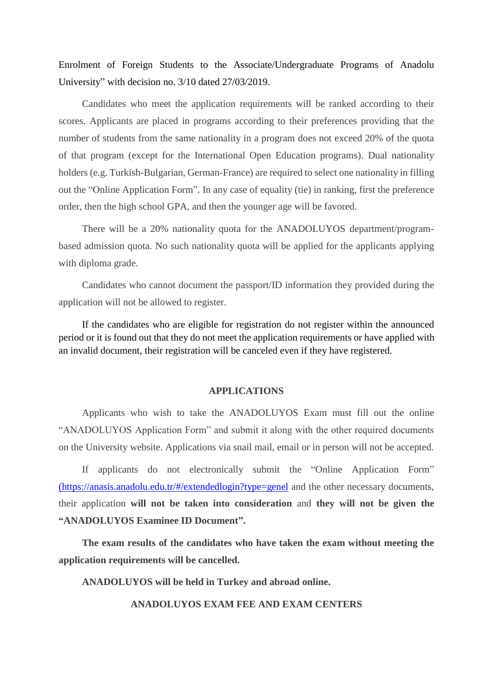Enrolment of Foreign Students to the Associate/Undergraduate Programs of Anadolu University" with decision no. 3/10 dated 27/03/2019.

Candidates who meet the application requirements will be ranked according to their scores. Applicants are placed in programs according to their preferences providing that the number of students from the same nationality in a program does not exceed 20% of the quota of that program (except for the International Open Education programs). Dual nationality holders (e.g. Turkish-Bulgarian, German-France) are required to select one nationality in filling out the "Online Application Form". In any case of equality (tie) in ranking, first the preference order, then the high school GPA, and then the younger age will be favored.

There will be a 20% nationality quota for the ANADOLUYOS department/programbased admission quota. No such nationality quota will be applied for the applicants applying with diploma grade.

Candidates who cannot document the passport/ID information they provided during the application will not be allowed to register.

If the candidates who are eligible for registration do not register within the announced period or it is found out that they do not meet the application requirements or have applied with an invalid document, their registration will be canceled even if they have registered.

#### **APPLICATIONS**

Applicants who wish to take the ANADOLUYOS Exam must fill out the online "ANADOLUYOS Application Form" and submit it along with the other required documents on the University website. Applications via snail mail, email or in person will not be accepted.

If applicants do not electronically submit the "Online Application Form" (https://anasis.anadolu.edu.tr/#/extendedlogin?type=genel and the other necessary documents, their application **will not be taken into consideration** and **they will not be given the "ANADOLUYOS Examinee ID Document".**

**The exam results of the candidates who have taken the exam without meeting the application requirements will be cancelled.**

**ANADOLUYOS will be held in Turkey and abroad online.**

**ANADOLUYOS EXAM FEE AND EXAM CENTERS**